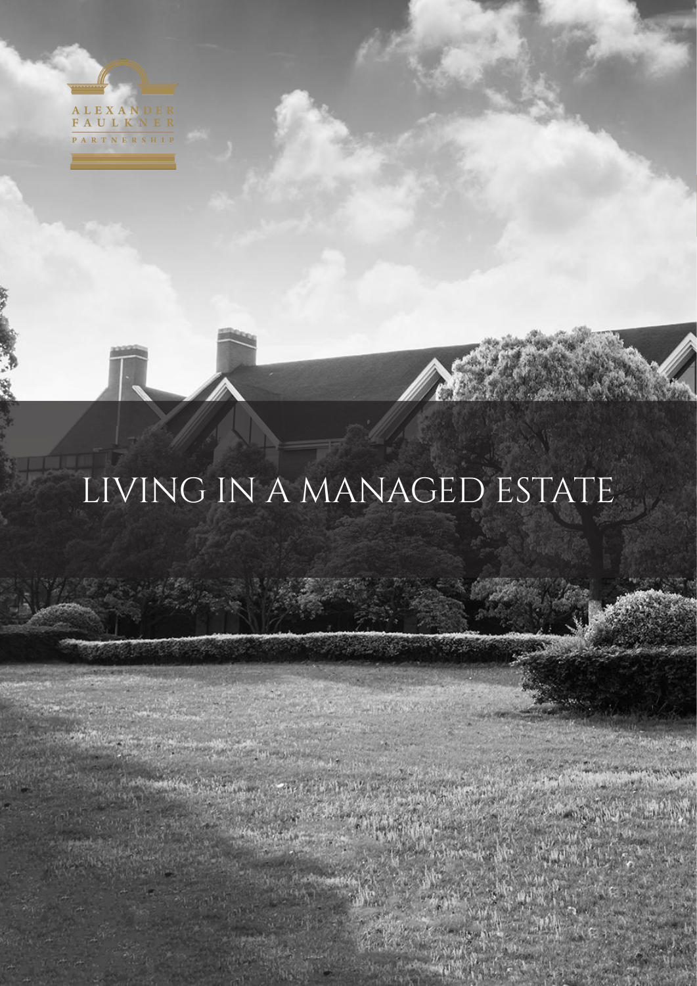

# LIVING IN A MANAGED ESTATE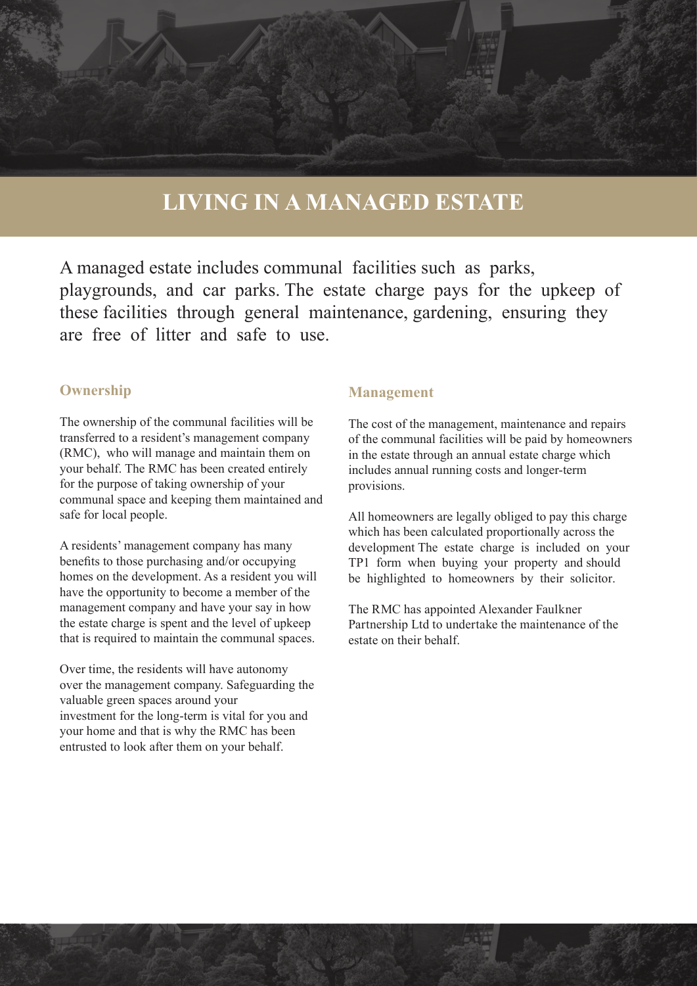# **LIVING IN A MANAGED ESTATE**

A managed estate includes communal facilities such as parks, playgrounds, and car parks. The estate charge pays for the upkeep of these facilities through general maintenance, gardening, ensuring they are free of litter and safe to use.

### **Ownership**

The ownership of the communal facilities will be transferred to a resident's management company (RMC), who will manage and maintain them on your behalf. The RMC has been created entirely for the purpose of taking ownership of your communal space and keeping them maintained and safe for local people.

A residents' management company has many benefits to those purchasing and/or occupying homes on the development. As a resident you will have the opportunity to become a member of the management company and have your say in how the estate charge is spent and the level of upkeep that is required to maintain the communal spaces.

Over time, the residents will have autonomy over the management company. Safeguarding the valuable green spaces around your investment for the long-term is vital for you and your home and that is why the RMC has been entrusted to look after them on your behalf.

#### **Management**

The cost of the management, maintenance and repairs of the communal facilities will be paid by homeowners in the estate through an annual estate charge which includes annual running costs and longer-term provisions.

All homeowners are legally obliged to pay this charge which has been calculated proportionally across the development The estate charge is included on your TP1 form when buying your property and should be highlighted to homeowners by their solicitor.

The RMC has appointed Alexander Faulkner Partnership Ltd to undertake the maintenance of the estate on their behalf.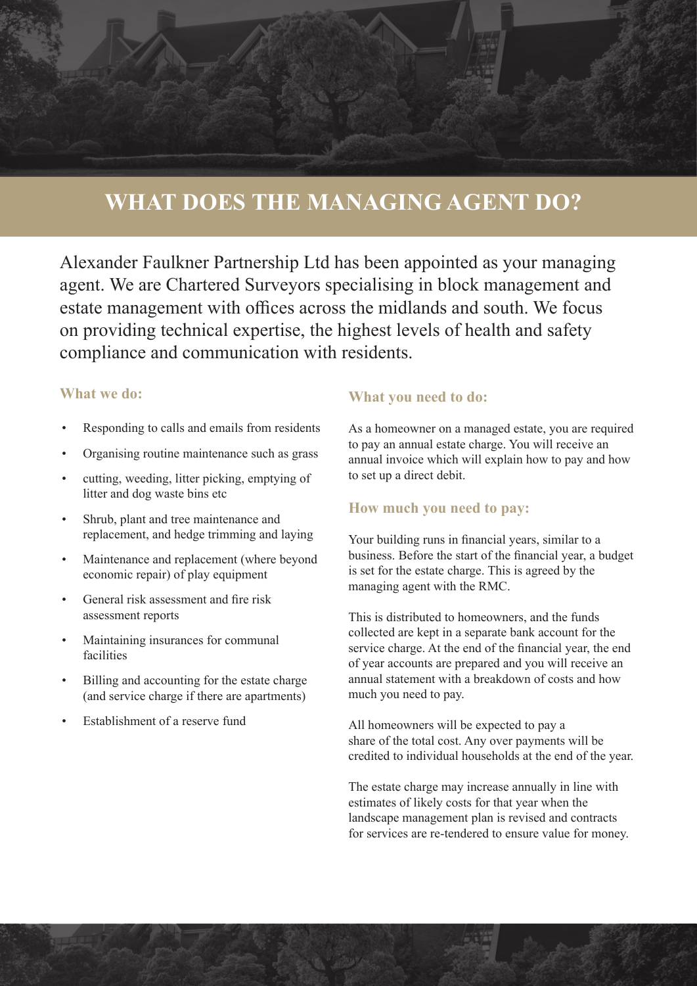## **WHAT DOES THE MANAGING AGENT DO?**

Alexander Faulkner Partnership Ltd has been appointed as your managing agent. We are Chartered Surveyors specialising in block management and estate management with offices across the midlands and south. We focus on providing technical expertise, the highest levels of health and safety compliance and communication with residents.

### **What we do:**

- Responding to calls and emails from residents
- Organising routine maintenance such as grass
- cutting, weeding, litter picking, emptying of litter and dog waste bins etc
- Shrub, plant and tree maintenance and replacement, and hedge trimming and laying
- Maintenance and replacement (where beyond economic repair) of play equipment
- General risk assessment and fire risk assessment reports
- Maintaining insurances for communal facilities
- Billing and accounting for the estate charge (and service charge if there are apartments)
- Establishment of a reserve fund

#### **What you need to do:**

As a homeowner on a managed estate, you are required to pay an annual estate charge. You will receive an annual invoice which will explain how to pay and how to set up a direct debit.

### **How much you need to pay:**

Your building runs in financial years, similar to a business. Before the start of the financial year, a budget is set for the estate charge. This is agreed by the managing agent with the RMC.

This is distributed to homeowners, and the funds collected are kept in a separate bank account for the service charge. At the end of the financial year, the end of year accounts are prepared and you will receive an annual statement with a breakdown of costs and how much you need to pay.

All homeowners will be expected to pay a share of the total cost. Any over payments will be credited to individual households at the end of the year.

The estate charge may increase annually in line with estimates of likely costs for that year when the landscape management plan is revised and contracts for services are re-tendered to ensure value for money.